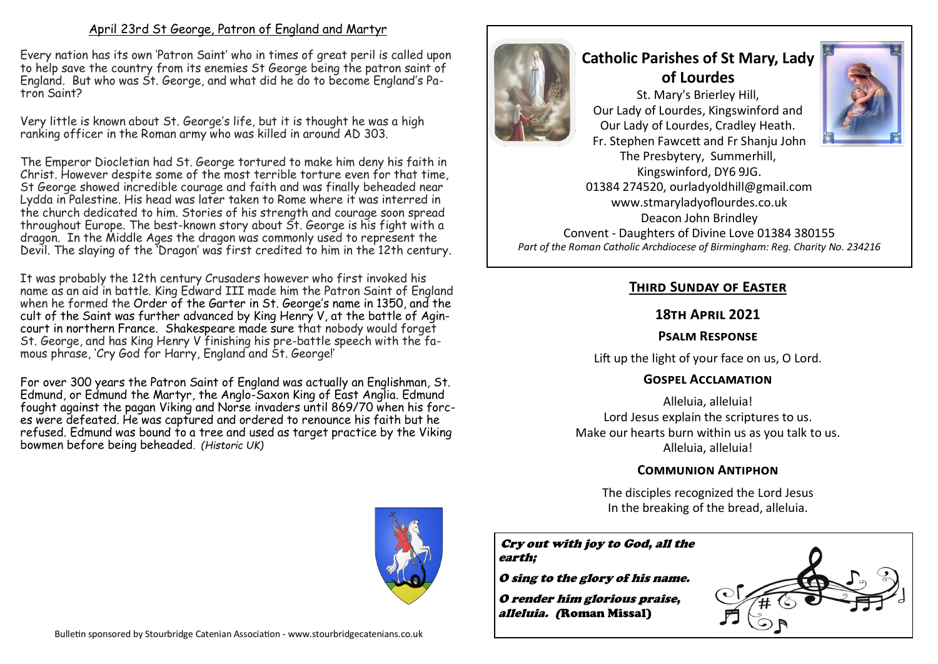#### April 23rd St George, Patron of England and Martyr

Every nation has its own 'Patron Saint' who in times of great peril is called upon to help save the country from its enemies St George being the patron saint of England. But who was St. George, and what did he do to become England's Patron Saint?

Very little is known about St. George's life, but it is thought he was a high ranking officer in the Roman army who was killed in around AD 303.

The Emperor Diocletian had St. George tortured to make him deny his faith in Christ. However despite some of the most terrible torture even for that time, St George showed incredible courage and faith and was finally beheaded near Lydda in Palestine. His head was later taken to Rome where it was interred in the church dedicated to him. Stories of his strength and courage soon spread throughout Europe. The best-known story about St. George is his fight with a dragon. In the Middle Ages the dragon was commonly used to represent the Devil. The slaying of the 'Dragon' was first credited to him in the 12th century.

It was probably the 12th century Crusaders however who first invoked his name as an aid in battle. King Edward III made him the Patron Saint of England when he formed the [Order of the Garter](https://www.historic-uk.com/CultureUK/The-Most-Noble-Order-of-the-Garter/) in St. George's name in 1350, and the cult of the Saint was further advanced by [King Henry V,](https://www.historic-uk.com/HistoryUK/KingsQueensofBritain/) at the battle of Agincourt in northern France. [Shakespeare](https://www.historic-uk.com/HistoryUK/HistoryofEngland/William-Shakespeare/) made sure that nobody would forget St. George, and has King Henry V finishing his pre-battle speech with the famous phrase, 'Cry God for Harry, England and St. George!'

For over 300 years the Patron Saint of England was actually an Englishman, [St.](https://www.historic-uk.com/HistoryUK/HistoryofEngland/Edmund-original-Patron-Saint-of-England/)  [Edmund,](https://www.historic-uk.com/HistoryUK/HistoryofEngland/Edmund-original-Patron-Saint-of-England/) or Edmund the Martyr, the Anglo-Saxon King of East Anglia. Edmund fought against the pagan [Viking and Norse invaders](https://www.historic-uk.com/HistoryUK/HistoryofBritain/Invaders/) until 869/70 when his forces were defeated. He was captured and ordered to renounce his faith but he refused. Edmund was bound to a tree and used as target practice by the Viking bowmen before being beheaded*. (Historic UK)*



# **Catholic Parishes of St Mary, Lady of Lourdes**

St. Mary's Brierley Hill, Our Lady of Lourdes, Kingswinford and Our Lady of Lourdes, Cradley Heath. Fr. Stephen Fawcett and Fr Shanju John The Presbytery, Summerhill, Kingswinford, DY6 9JG. 01384 274520, ourladyoldhill@gmail.com

www.stmaryladyoflourdes.co.uk Deacon John Brindley Convent - Daughters of Divine Love 01384 380155 *Part of the Roman Catholic Archdiocese of Birmingham: Reg. Charity No. 234216*

## **Third Sunday of Easter**

#### **18th April 2021**

## **Psalm Response**

Lift up the light of your face on us, O Lord.

## **Gospel Acclamation**

Alleluia, alleluia! Lord Jesus explain the scriptures to us. Make our hearts burn within us as you talk to us. Alleluia, alleluia!

#### **Communion Antiphon**

The disciples recognized the Lord Jesus In the breaking of the bread, alleluia.

Cry out with joy to God, all the earth;

O sing to the glory of his name.

O render him glorious praise, *alleluia. (*Roman Missal)